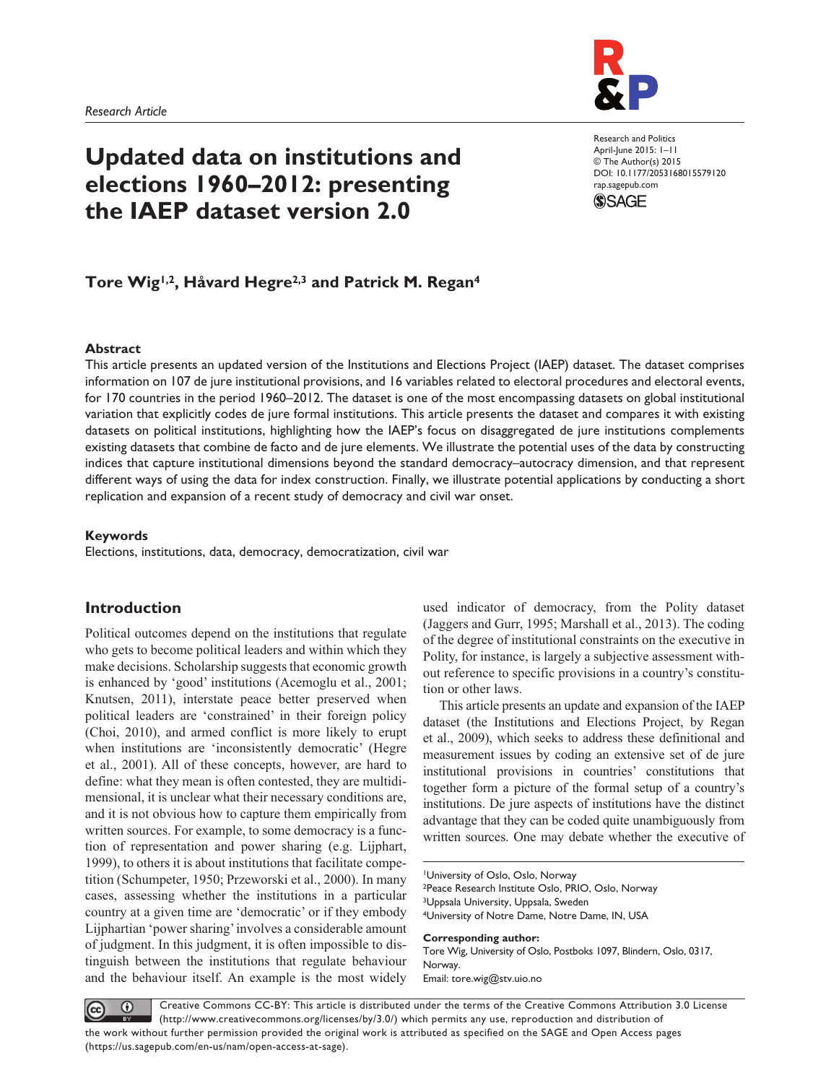

Research and Politics April-June 2015: 1–11 © The Author(s) 2015 DOI: 10.1177/2053168015579120

rap.sagepub.com

**SSAGE** 

# **Updated data on institutions and elections 1960–2012: presenting the IAEP dataset version 2.0**

## **Tore Wig1,2, Håvard Hegre2,3 and Patrick M. Regan4**

#### **Abstract**

This article presents an updated version of the Institutions and Elections Project (IAEP) dataset. The dataset comprises information on 107 de jure institutional provisions, and 16 variables related to electoral procedures and electoral events, for 170 countries in the period 1960–2012. The dataset is one of the most encompassing datasets on global institutional variation that explicitly codes de jure formal institutions. This article presents the dataset and compares it with existing datasets on political institutions, highlighting how the IAEP's focus on disaggregated de jure institutions complements existing datasets that combine de facto and de jure elements. We illustrate the potential uses of the data by constructing indices that capture institutional dimensions beyond the standard democracy–autocracy dimension, and that represent different ways of using the data for index construction. Finally, we illustrate potential applications by conducting a short replication and expansion of a recent study of democracy and civil war onset.

#### **Keywords**

Elections, institutions, data, democracy, democratization, civil war

## **Introduction**

Political outcomes depend on the institutions that regulate who gets to become political leaders and within which they make decisions. Scholarship suggests that economic growth is enhanced by 'good' institutions (Acemoglu et al., 2001; Knutsen, 2011), interstate peace better preserved when political leaders are 'constrained' in their foreign policy (Choi, 2010), and armed conflict is more likely to erupt when institutions are 'inconsistently democratic' (Hegre et al., 2001). All of these concepts, however, are hard to define: what they mean is often contested, they are multidimensional, it is unclear what their necessary conditions are, and it is not obvious how to capture them empirically from written sources. For example, to some democracy is a function of representation and power sharing (e.g. Lijphart, 1999), to others it is about institutions that facilitate competition (Schumpeter, 1950; Przeworski et al., 2000). In many cases, assessing whether the institutions in a particular country at a given time are 'democratic' or if they embody Lijphartian 'power sharing' involves a considerable amount of judgment. In this judgment, it is often impossible to distinguish between the institutions that regulate behaviour and the behaviour itself. An example is the most widely

used indicator of democracy, from the Polity dataset (Jaggers and Gurr, 1995; Marshall et al., 2013). The coding of the degree of institutional constraints on the executive in Polity, for instance, is largely a subjective assessment without reference to specific provisions in a country's constitution or other laws.

This article presents an update and expansion of the IAEP dataset (the Institutions and Elections Project, by Regan et al., 2009), which seeks to address these definitional and measurement issues by coding an extensive set of de jure institutional provisions in countries' constitutions that together form a picture of the formal setup of a country's institutions. De jure aspects of institutions have the distinct advantage that they can be coded quite unambiguously from written sources. One may debate whether the executive of

1University of Oslo, Oslo, Norway 2Peace Research Institute Oslo, PRIO, Oslo, Norway 3Uppsala University, Uppsala, Sweden 4University of Notre Dame, Notre Dame, IN, USA

#### **Corresponding author:**

Tore Wig, University of Oslo, Postboks 1097, Blindern, Oslo, 0317, Norway. Email: tore.wig@stv.uio.no

Creative Commons CC-BY: This article is distributed under the terms of the Creative Commons Attribution 3.0 License  $\odot$ (cc) (http://www.creativecommons.org/licenses/by/3.0/) which permits any use, reproduction and distribution of the work without further permission provided the original work is attributed as specified on the SAGE and Open Access pages (https://us.sagepub.com/en-us/nam/open-access-at-sage).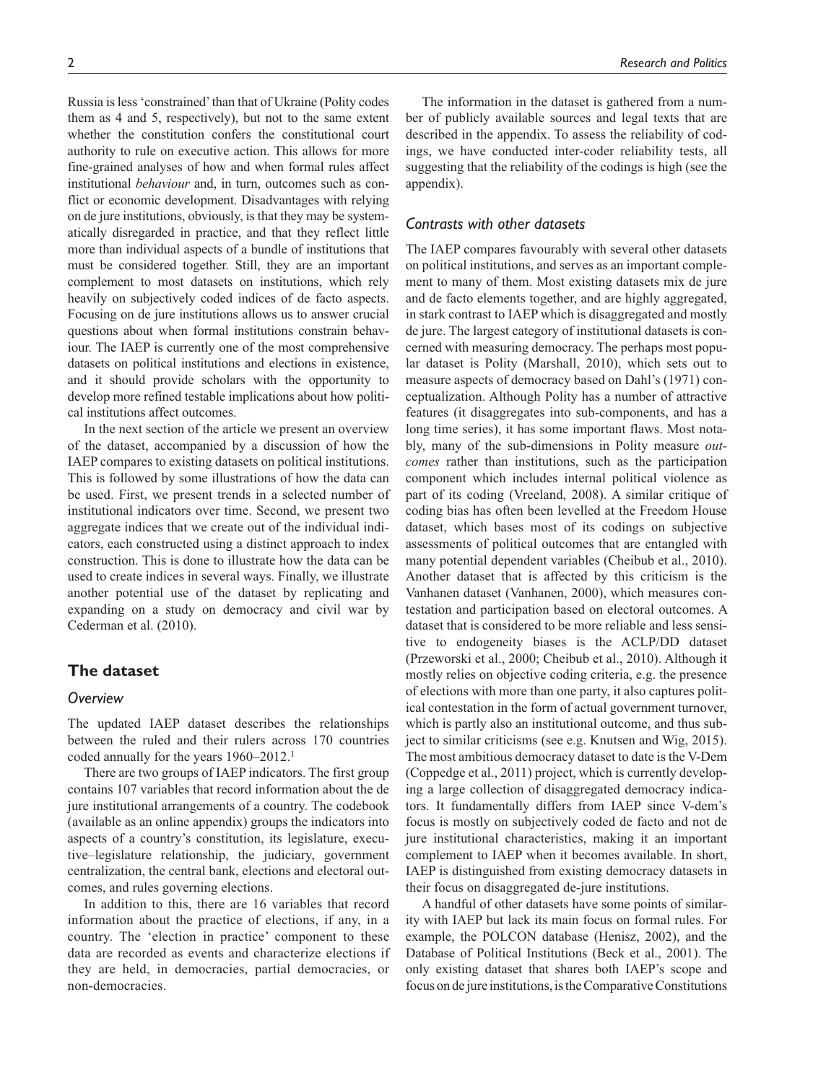Russia is less 'constrained' than that of Ukraine (Polity codes them as 4 and 5, respectively), but not to the same extent whether the constitution confers the constitutional court authority to rule on executive action. This allows for more fine-grained analyses of how and when formal rules affect institutional *behaviour* and, in turn, outcomes such as conflict or economic development. Disadvantages with relying on de jure institutions, obviously, is that they may be systematically disregarded in practice, and that they reflect little more than individual aspects of a bundle of institutions that must be considered together. Still, they are an important complement to most datasets on institutions, which rely heavily on subjectively coded indices of de facto aspects. Focusing on de jure institutions allows us to answer crucial questions about when formal institutions constrain behaviour. The IAEP is currently one of the most comprehensive datasets on political institutions and elections in existence, and it should provide scholars with the opportunity to develop more refined testable implications about how political institutions affect outcomes.

In the next section of the article we present an overview of the dataset, accompanied by a discussion of how the IAEP compares to existing datasets on political institutions. This is followed by some illustrations of how the data can be used. First, we present trends in a selected number of institutional indicators over time. Second, we present two aggregate indices that we create out of the individual indicators, each constructed using a distinct approach to index construction. This is done to illustrate how the data can be used to create indices in several ways. Finally, we illustrate another potential use of the dataset by replicating and expanding on a study on democracy and civil war by Cederman et al. (2010).

#### **The dataset**

#### *Overview*

The updated IAEP dataset describes the relationships between the ruled and their rulers across 170 countries coded annually for the years 1960-2012.<sup>1</sup>

There are two groups of IAEP indicators. The first group contains 107 variables that record information about the de jure institutional arrangements of a country. The codebook (available as an online appendix) groups the indicators into aspects of a country's constitution, its legislature, executive–legislature relationship, the judiciary, government centralization, the central bank, elections and electoral outcomes, and rules governing elections.

In addition to this, there are 16 variables that record information about the practice of elections, if any, in a country. The 'election in practice' component to these data are recorded as events and characterize elections if they are held, in democracies, partial democracies, or non-democracies.

ber of publicly available sources and legal texts that are described in the appendix. To assess the reliability of codings, we have conducted inter-coder reliability tests, all suggesting that the reliability of the codings is high (see the appendix).

#### *Contrasts with other datasets*

The IAEP compares favourably with several other datasets on political institutions, and serves as an important complement to many of them. Most existing datasets mix de jure and de facto elements together, and are highly aggregated, in stark contrast to IAEP which is disaggregated and mostly de jure. The largest category of institutional datasets is concerned with measuring democracy. The perhaps most popular dataset is Polity (Marshall, 2010), which sets out to measure aspects of democracy based on Dahl's (1971) conceptualization. Although Polity has a number of attractive features (it disaggregates into sub-components, and has a long time series), it has some important flaws. Most notably, many of the sub-dimensions in Polity measure *outcomes* rather than institutions, such as the participation component which includes internal political violence as part of its coding (Vreeland, 2008). A similar critique of coding bias has often been levelled at the Freedom House dataset, which bases most of its codings on subjective assessments of political outcomes that are entangled with many potential dependent variables (Cheibub et al., 2010). Another dataset that is affected by this criticism is the Vanhanen dataset (Vanhanen, 2000), which measures contestation and participation based on electoral outcomes. A dataset that is considered to be more reliable and less sensitive to endogeneity biases is the ACLP/DD dataset (Przeworski et al., 2000; Cheibub et al., 2010). Although it mostly relies on objective coding criteria, e.g. the presence of elections with more than one party, it also captures political contestation in the form of actual government turnover, which is partly also an institutional outcome, and thus subject to similar criticisms (see e.g. Knutsen and Wig, 2015). The most ambitious democracy dataset to date is the V-Dem (Coppedge et al., 2011) project, which is currently developing a large collection of disaggregated democracy indicators. It fundamentally differs from IAEP since V-dem's focus is mostly on subjectively coded de facto and not de jure institutional characteristics, making it an important complement to IAEP when it becomes available. In short, IAEP is distinguished from existing democracy datasets in their focus on disaggregated de-jure institutions.

A handful of other datasets have some points of similarity with IAEP but lack its main focus on formal rules. For example, the POLCON database (Henisz, 2002), and the Database of Political Institutions (Beck et al., 2001). The only existing dataset that shares both IAEP's scope and focus on de jure institutions, is the Comparative Constitutions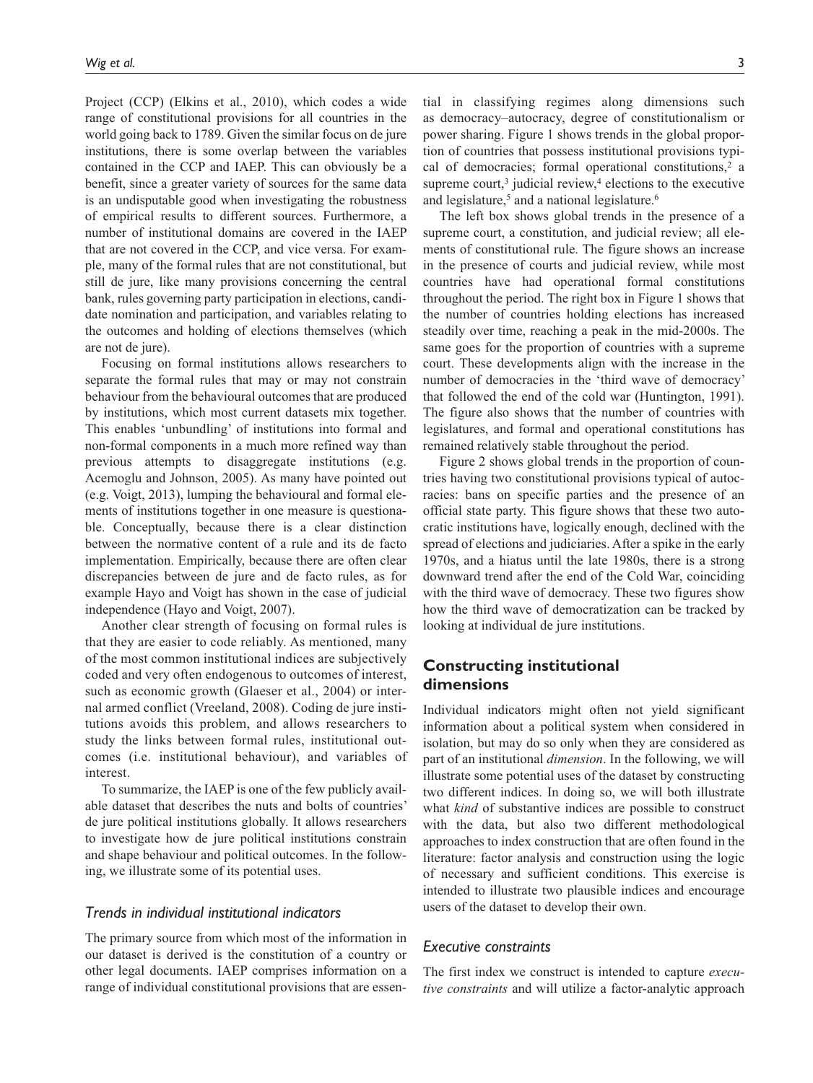Project (CCP) (Elkins et al., 2010), which codes a wide range of constitutional provisions for all countries in the world going back to 1789. Given the similar focus on de jure institutions, there is some overlap between the variables contained in the CCP and IAEP. This can obviously be a benefit, since a greater variety of sources for the same data is an undisputable good when investigating the robustness of empirical results to different sources. Furthermore, a number of institutional domains are covered in the IAEP that are not covered in the CCP, and vice versa. For example, many of the formal rules that are not constitutional, but still de jure, like many provisions concerning the central bank, rules governing party participation in elections, candidate nomination and participation, and variables relating to the outcomes and holding of elections themselves (which are not de jure).

Focusing on formal institutions allows researchers to separate the formal rules that may or may not constrain behaviour from the behavioural outcomes that are produced by institutions, which most current datasets mix together. This enables 'unbundling' of institutions into formal and non-formal components in a much more refined way than previous attempts to disaggregate institutions (e.g. Acemoglu and Johnson, 2005). As many have pointed out (e.g. Voigt, 2013), lumping the behavioural and formal elements of institutions together in one measure is questionable. Conceptually, because there is a clear distinction between the normative content of a rule and its de facto implementation. Empirically, because there are often clear discrepancies between de jure and de facto rules, as for example Hayo and Voigt has shown in the case of judicial independence (Hayo and Voigt, 2007).

Another clear strength of focusing on formal rules is that they are easier to code reliably. As mentioned, many of the most common institutional indices are subjectively coded and very often endogenous to outcomes of interest, such as economic growth (Glaeser et al., 2004) or internal armed conflict (Vreeland, 2008). Coding de jure institutions avoids this problem, and allows researchers to study the links between formal rules, institutional outcomes (i.e. institutional behaviour), and variables of interest.

To summarize, the IAEP is one of the few publicly available dataset that describes the nuts and bolts of countries' de jure political institutions globally. It allows researchers to investigate how de jure political institutions constrain and shape behaviour and political outcomes. In the following, we illustrate some of its potential uses.

#### *Trends in individual institutional indicators*

The primary source from which most of the information in our dataset is derived is the constitution of a country or other legal documents. IAEP comprises information on a range of individual constitutional provisions that are essential in classifying regimes along dimensions such as democracy–autocracy, degree of constitutionalism or power sharing. Figure 1 shows trends in the global proportion of countries that possess institutional provisions typical of democracies; formal operational constitutions,<sup>2</sup> a supreme court, $3$  judicial review, $4$  elections to the executive and legislature,<sup>5</sup> and a national legislature.<sup>6</sup>

The left box shows global trends in the presence of a supreme court, a constitution, and judicial review; all elements of constitutional rule. The figure shows an increase in the presence of courts and judicial review, while most countries have had operational formal constitutions throughout the period. The right box in Figure 1 shows that the number of countries holding elections has increased steadily over time, reaching a peak in the mid-2000s. The same goes for the proportion of countries with a supreme court. These developments align with the increase in the number of democracies in the 'third wave of democracy' that followed the end of the cold war (Huntington, 1991). The figure also shows that the number of countries with legislatures, and formal and operational constitutions has remained relatively stable throughout the period.

Figure 2 shows global trends in the proportion of countries having two constitutional provisions typical of autocracies: bans on specific parties and the presence of an official state party. This figure shows that these two autocratic institutions have, logically enough, declined with the spread of elections and judiciaries. After a spike in the early 1970s, and a hiatus until the late 1980s, there is a strong downward trend after the end of the Cold War, coinciding with the third wave of democracy. These two figures show how the third wave of democratization can be tracked by looking at individual de jure institutions.

## **Constructing institutional dimensions**

Individual indicators might often not yield significant information about a political system when considered in isolation, but may do so only when they are considered as part of an institutional *dimension*. In the following, we will illustrate some potential uses of the dataset by constructing two different indices. In doing so, we will both illustrate what *kind* of substantive indices are possible to construct with the data, but also two different methodological approaches to index construction that are often found in the literature: factor analysis and construction using the logic of necessary and sufficient conditions. This exercise is intended to illustrate two plausible indices and encourage users of the dataset to develop their own.

#### *Executive constraints*

The first index we construct is intended to capture *executive constraints* and will utilize a factor-analytic approach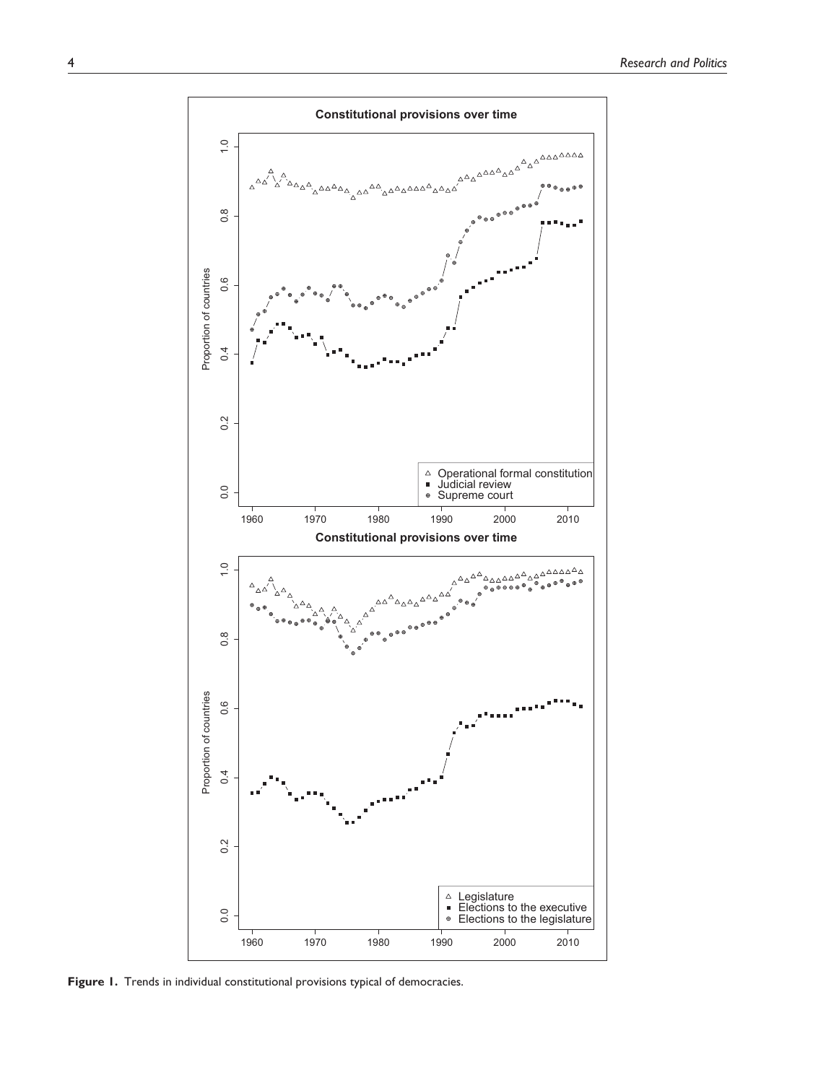

**Figure 1.** Trends in individual constitutional provisions typical of democracies.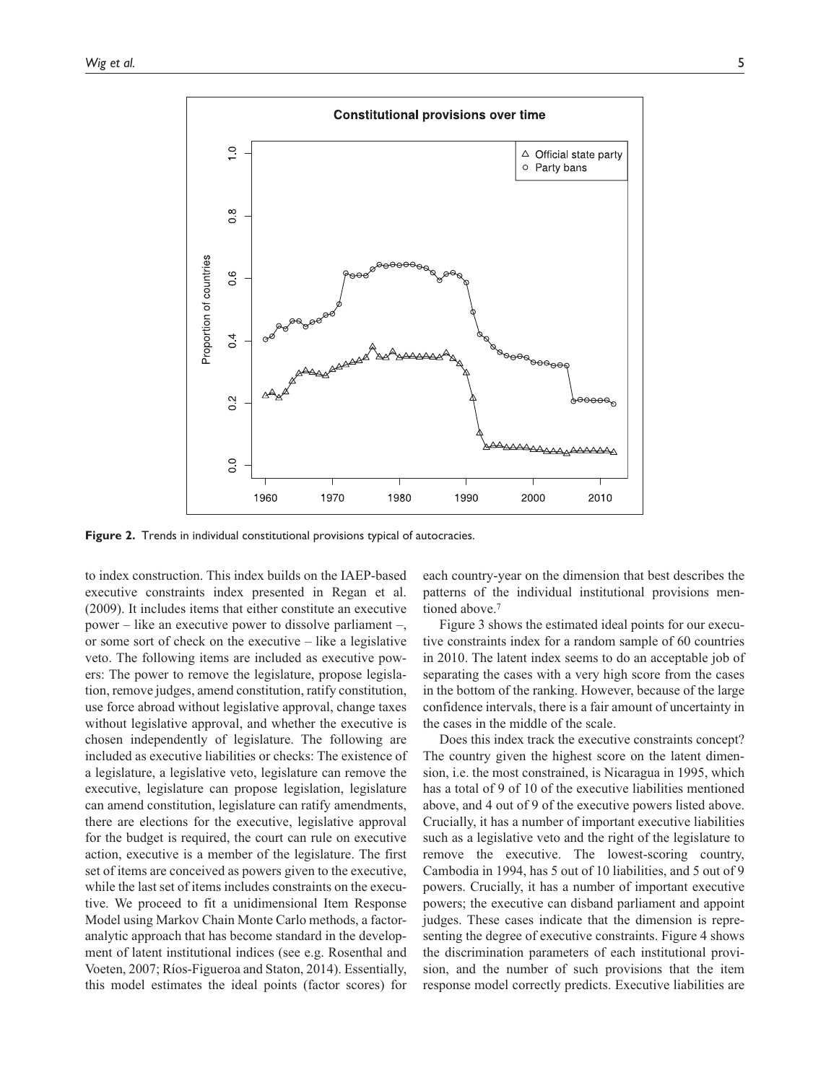

**Figure 2.** Trends in individual constitutional provisions typical of autocracies.

to index construction. This index builds on the IAEP-based executive constraints index presented in Regan et al. (2009). It includes items that either constitute an executive power – like an executive power to dissolve parliament –, or some sort of check on the executive – like a legislative veto. The following items are included as executive powers: The power to remove the legislature, propose legislation, remove judges, amend constitution, ratify constitution, use force abroad without legislative approval, change taxes without legislative approval, and whether the executive is chosen independently of legislature. The following are included as executive liabilities or checks: The existence of a legislature, a legislative veto, legislature can remove the executive, legislature can propose legislation, legislature can amend constitution, legislature can ratify amendments, there are elections for the executive, legislative approval for the budget is required, the court can rule on executive action, executive is a member of the legislature. The first set of items are conceived as powers given to the executive, while the last set of items includes constraints on the executive. We proceed to fit a unidimensional Item Response Model using Markov Chain Monte Carlo methods, a factoranalytic approach that has become standard in the development of latent institutional indices (see e.g. Rosenthal and Voeten, 2007; Ríos-Figueroa and Staton, 2014). Essentially, this model estimates the ideal points (factor scores) for

each country-year on the dimension that best describes the patterns of the individual institutional provisions mentioned above.<sup>7</sup>

Figure 3 shows the estimated ideal points for our executive constraints index for a random sample of 60 countries in 2010. The latent index seems to do an acceptable job of separating the cases with a very high score from the cases in the bottom of the ranking. However, because of the large confidence intervals, there is a fair amount of uncertainty in the cases in the middle of the scale.

Does this index track the executive constraints concept? The country given the highest score on the latent dimension, i.e. the most constrained, is Nicaragua in 1995, which has a total of 9 of 10 of the executive liabilities mentioned above, and 4 out of 9 of the executive powers listed above. Crucially, it has a number of important executive liabilities such as a legislative veto and the right of the legislature to remove the executive. The lowest-scoring country, Cambodia in 1994, has 5 out of 10 liabilities, and 5 out of 9 powers. Crucially, it has a number of important executive powers; the executive can disband parliament and appoint judges. These cases indicate that the dimension is representing the degree of executive constraints. Figure 4 shows the discrimination parameters of each institutional provision, and the number of such provisions that the item response model correctly predicts. Executive liabilities are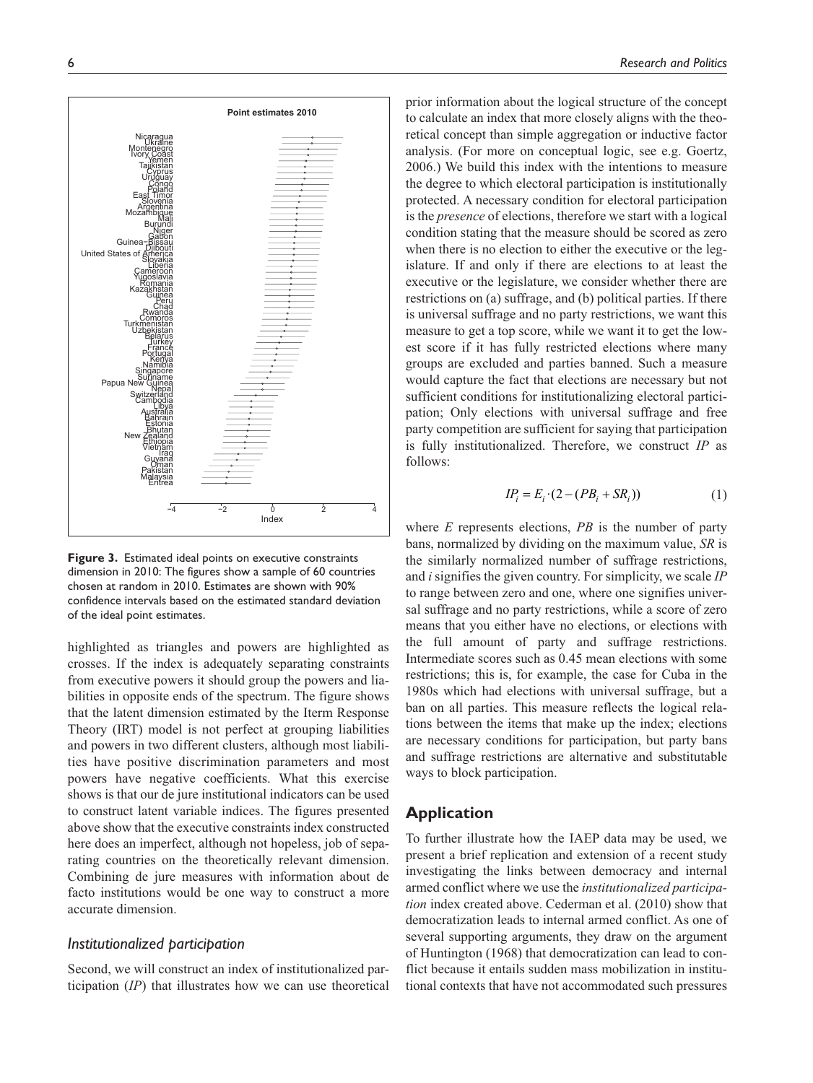

**Figure 3.** Estimated ideal points on executive constraints dimension in 2010: The figures show a sample of 60 countries chosen at random in 2010. Estimates are shown with 90% confidence intervals based on the estimated standard deviation of the ideal point estimates.

highlighted as triangles and powers are highlighted as crosses. If the index is adequately separating constraints from executive powers it should group the powers and liabilities in opposite ends of the spectrum. The figure shows that the latent dimension estimated by the Iterm Response Theory (IRT) model is not perfect at grouping liabilities and powers in two different clusters, although most liabilities have positive discrimination parameters and most powers have negative coefficients. What this exercise shows is that our de jure institutional indicators can be used to construct latent variable indices. The figures presented above show that the executive constraints index constructed here does an imperfect, although not hopeless, job of separating countries on the theoretically relevant dimension. Combining de jure measures with information about de facto institutions would be one way to construct a more accurate dimension.

#### *Institutionalized participation*

Second, we will construct an index of institutionalized participation (*IP*) that illustrates how we can use theoretical prior information about the logical structure of the concept to calculate an index that more closely aligns with the theoretical concept than simple aggregation or inductive factor analysis. (For more on conceptual logic, see e.g. Goertz, 2006.) We build this index with the intentions to measure the degree to which electoral participation is institutionally protected. A necessary condition for electoral participation is the *presence* of elections, therefore we start with a logical condition stating that the measure should be scored as zero when there is no election to either the executive or the legislature. If and only if there are elections to at least the executive or the legislature, we consider whether there are restrictions on (a) suffrage, and (b) political parties. If there is universal suffrage and no party restrictions, we want this measure to get a top score, while we want it to get the lowest score if it has fully restricted elections where many groups are excluded and parties banned. Such a measure would capture the fact that elections are necessary but not sufficient conditions for institutionalizing electoral participation; Only elections with universal suffrage and free party competition are sufficient for saying that participation is fully institutionalized. Therefore, we construct *IP* as

$$
IP_i = E_i \cdot (2 - (PB_i + SR_i))
$$
 (1)

where *E* represents elections, *PB* is the number of party bans, normalized by dividing on the maximum value, *SR* is the similarly normalized number of suffrage restrictions, and *i* signifies the given country. For simplicity, we scale *IP* to range between zero and one, where one signifies universal suffrage and no party restrictions, while a score of zero means that you either have no elections, or elections with the full amount of party and suffrage restrictions. Intermediate scores such as 0.45 mean elections with some restrictions; this is, for example, the case for Cuba in the 1980s which had elections with universal suffrage, but a ban on all parties. This measure reflects the logical relations between the items that make up the index; elections are necessary conditions for participation, but party bans and suffrage restrictions are alternative and substitutable ways to block participation.

## **Application**

follows:

To further illustrate how the IAEP data may be used, we present a brief replication and extension of a recent study investigating the links between democracy and internal armed conflict where we use the *institutionalized participation* index created above. Cederman et al. (2010) show that democratization leads to internal armed conflict. As one of several supporting arguments, they draw on the argument of Huntington (1968) that democratization can lead to conflict because it entails sudden mass mobilization in institutional contexts that have not accommodated such pressures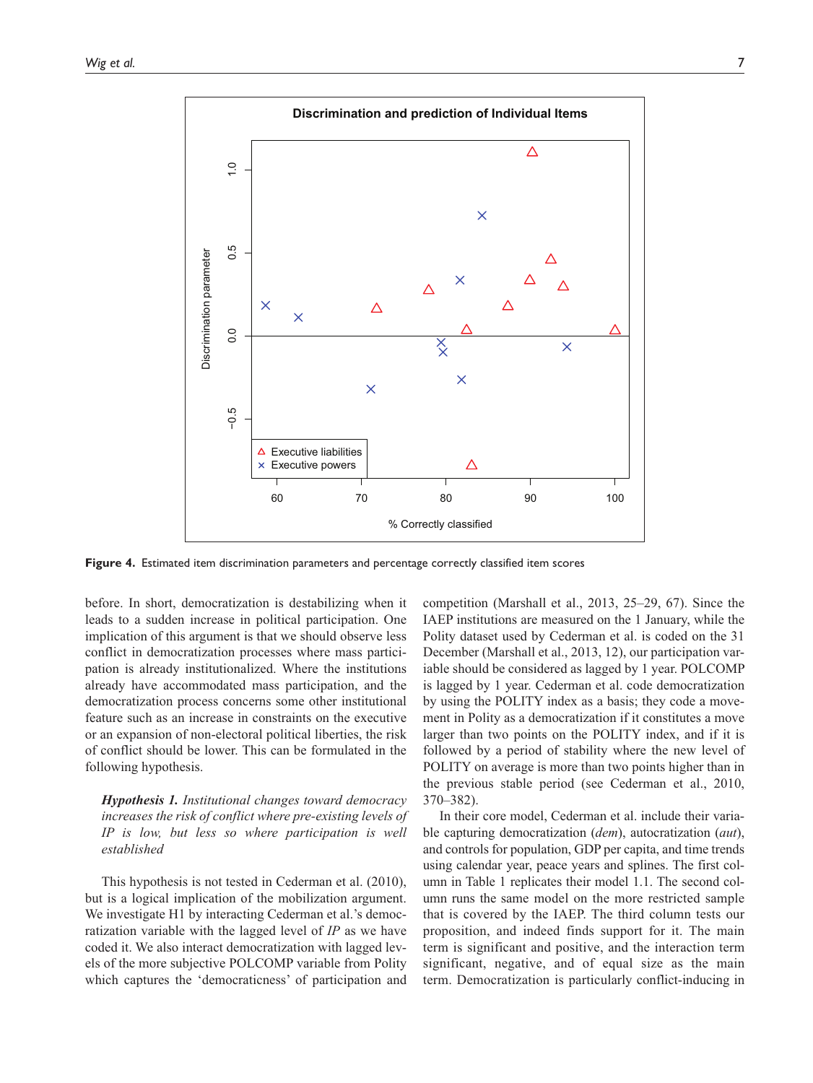

**Figure 4.** Estimated item discrimination parameters and percentage correctly classified item scores

before. In short, democratization is destabilizing when it leads to a sudden increase in political participation. One implication of this argument is that we should observe less conflict in democratization processes where mass participation is already institutionalized. Where the institutions already have accommodated mass participation, and the democratization process concerns some other institutional feature such as an increase in constraints on the executive or an expansion of non-electoral political liberties, the risk of conflict should be lower. This can be formulated in the following hypothesis.

*Hypothesis 1. Institutional changes toward democracy increases the risk of conflict where pre-existing levels of IP is low, but less so where participation is well established*

This hypothesis is not tested in Cederman et al. (2010), but is a logical implication of the mobilization argument. We investigate H1 by interacting Cederman et al.'s democratization variable with the lagged level of *IP* as we have coded it. We also interact democratization with lagged levels of the more subjective POLCOMP variable from Polity which captures the 'democraticness' of participation and competition (Marshall et al., 2013, 25–29, 67). Since the IAEP institutions are measured on the 1 January, while the Polity dataset used by Cederman et al. is coded on the 31 December (Marshall et al., 2013, 12), our participation variable should be considered as lagged by 1 year. POLCOMP is lagged by 1 year. Cederman et al. code democratization by using the POLITY index as a basis; they code a movement in Polity as a democratization if it constitutes a move larger than two points on the POLITY index, and if it is followed by a period of stability where the new level of POLITY on average is more than two points higher than in the previous stable period (see Cederman et al., 2010, 370–382).

In their core model, Cederman et al. include their variable capturing democratization (*dem*), autocratization (*aut*), and controls for population, GDP per capita, and time trends using calendar year, peace years and splines. The first column in Table 1 replicates their model 1.1. The second column runs the same model on the more restricted sample that is covered by the IAEP. The third column tests our proposition, and indeed finds support for it. The main term is significant and positive, and the interaction term significant, negative, and of equal size as the main term. Democratization is particularly conflict-inducing in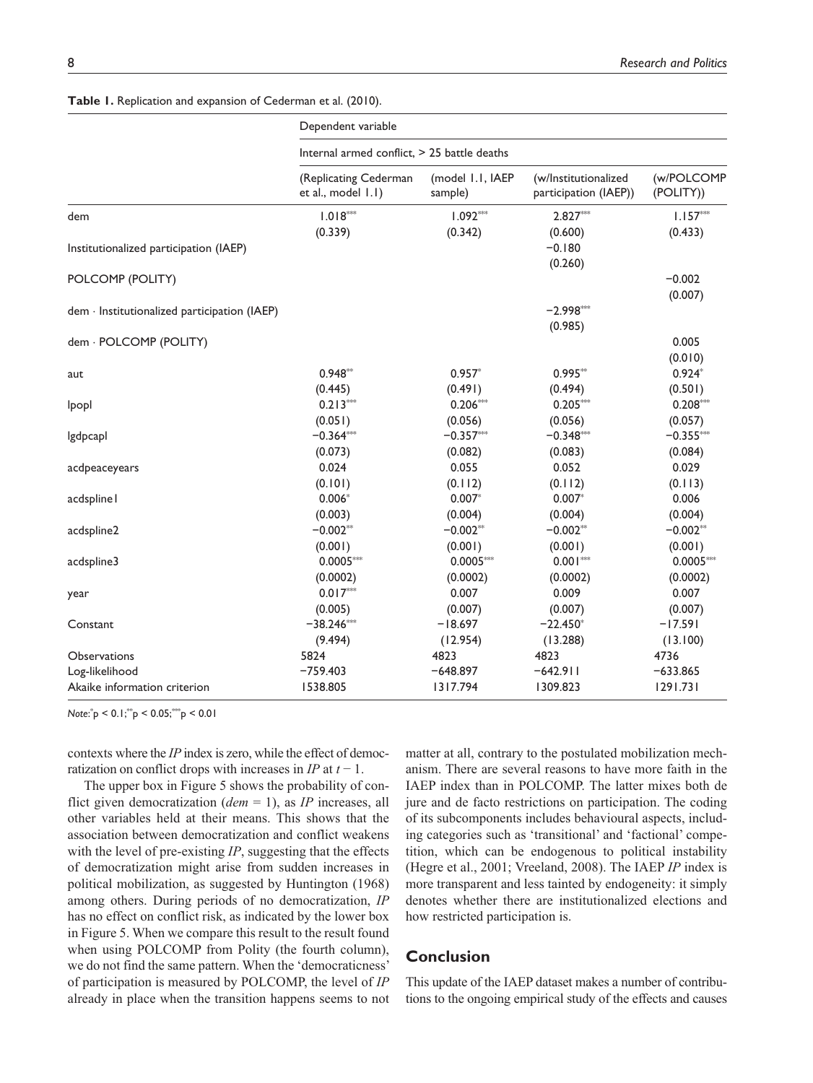#### **Table 1.** Replication and expansion of Cederman et al. (2010).

|                                              | Dependent variable<br>Internal armed conflict, > 25 battle deaths |                             |                                               |                         |
|----------------------------------------------|-------------------------------------------------------------------|-----------------------------|-----------------------------------------------|-------------------------|
|                                              |                                                                   |                             |                                               |                         |
|                                              | (Replicating Cederman<br>et al., model 1.1)                       | (model 1.1, IAEP<br>sample) | (w/Institutionalized<br>participation (IAEP)) | (w/POLCOMP<br>(POLITY)) |
| dem                                          | $1.018***$                                                        | $1.092***$                  | $2.827***$                                    | $1.157***$              |
|                                              | (0.339)                                                           | (0.342)                     | (0.600)                                       | (0.433)                 |
| Institutionalized participation (IAEP)       |                                                                   |                             | $-0.180$<br>(0.260)                           |                         |
| POLCOMP (POLITY)                             |                                                                   |                             |                                               | $-0.002$                |
|                                              |                                                                   |                             |                                               | (0.007)                 |
| dem · Institutionalized participation (IAEP) |                                                                   |                             | $-2.998***$                                   |                         |
|                                              |                                                                   |                             | (0.985)                                       |                         |
| dem · POLCOMP (POLITY)                       |                                                                   |                             |                                               | 0.005                   |
|                                              |                                                                   |                             |                                               | (0.010)                 |
| aut                                          | $0.948**$                                                         | $0.957*$                    | $0.995**$                                     | $0.924*$                |
|                                              | (0.445)                                                           | (0.491)                     | (0.494)                                       | (0.501)                 |
| Ipopl                                        | $0.213***$                                                        | $0.206***$                  | $0.205***$                                    | $0.208***$              |
|                                              | (0.051)                                                           | (0.056)                     | (0.056)                                       | (0.057)                 |
| lgdpcapl                                     | $-0.364***$                                                       | $-0.357***$                 | $-0.348***$                                   | $-0.355***$             |
|                                              | (0.073)                                                           | (0.082)                     | (0.083)                                       | (0.084)                 |
| acdpeaceyears                                | 0.024                                                             | 0.055                       | 0.052                                         | 0.029                   |
|                                              | (0.101)                                                           | (0.112)                     | (0.112)                                       | (0.113)                 |
| acdsplinel                                   | $0.006*$                                                          | $0.007*$                    | $0.007*$                                      | 0.006                   |
|                                              | (0.003)                                                           | (0.004)                     | (0.004)                                       | (0.004)                 |
| acdspline2                                   | $-0.002**$                                                        | $-0.002**$                  | $-0.002**$                                    | $-0.002**$              |
|                                              | (0.001)                                                           | (0.001)                     | (0.001)                                       | (0.001)                 |
| acdspline3                                   | $0.0005***$                                                       | $0.0005***$                 | $0.001***$                                    | $0.0005***$             |
|                                              | (0.0002)                                                          | (0.0002)                    | (0.0002)                                      | (0.0002)                |
| year                                         | $0.017***$                                                        | 0.007                       | 0.009                                         | 0.007                   |
|                                              | (0.005)                                                           | (0.007)                     | (0.007)                                       | (0.007)                 |
| Constant                                     | $-38.246***$                                                      | $-18.697$                   | $-22.450*$                                    | $-17.591$               |
|                                              | (9.494)                                                           | (12.954)                    | (13.288)                                      | (13.100)                |
| <b>Observations</b>                          | 5824                                                              | 4823                        | 4823                                          | 4736                    |
| Log-likelihood                               | $-759.403$                                                        | $-648.897$                  | $-642.911$                                    | $-633.865$              |
| Akaike information criterion                 | 1538.805                                                          | 1317.794                    | 1309.823                                      | 1291.731                |

*Note*: \* p < 0.1;\*\*p < 0.05;\*\*\*p < 0.01

contexts where the *IP* index is zero, while the effect of democratization on conflict drops with increases in *IP* at *t* − 1.

The upper box in Figure 5 shows the probability of conflict given democratization (*dem* = 1), as *IP* increases, all other variables held at their means. This shows that the association between democratization and conflict weakens with the level of pre-existing *IP*, suggesting that the effects of democratization might arise from sudden increases in political mobilization, as suggested by Huntington (1968) among others. During periods of no democratization, *IP* has no effect on conflict risk, as indicated by the lower box in Figure 5. When we compare this result to the result found when using POLCOMP from Polity (the fourth column), we do not find the same pattern. When the 'democraticness' of participation is measured by POLCOMP, the level of *IP* already in place when the transition happens seems to not matter at all, contrary to the postulated mobilization mechanism. There are several reasons to have more faith in the IAEP index than in POLCOMP. The latter mixes both de jure and de facto restrictions on participation. The coding of its subcomponents includes behavioural aspects, including categories such as 'transitional' and 'factional' competition, which can be endogenous to political instability (Hegre et al., 2001; Vreeland, 2008). The IAEP *IP* index is more transparent and less tainted by endogeneity: it simply denotes whether there are institutionalized elections and how restricted participation is.

### **Conclusion**

This update of the IAEP dataset makes a number of contributions to the ongoing empirical study of the effects and causes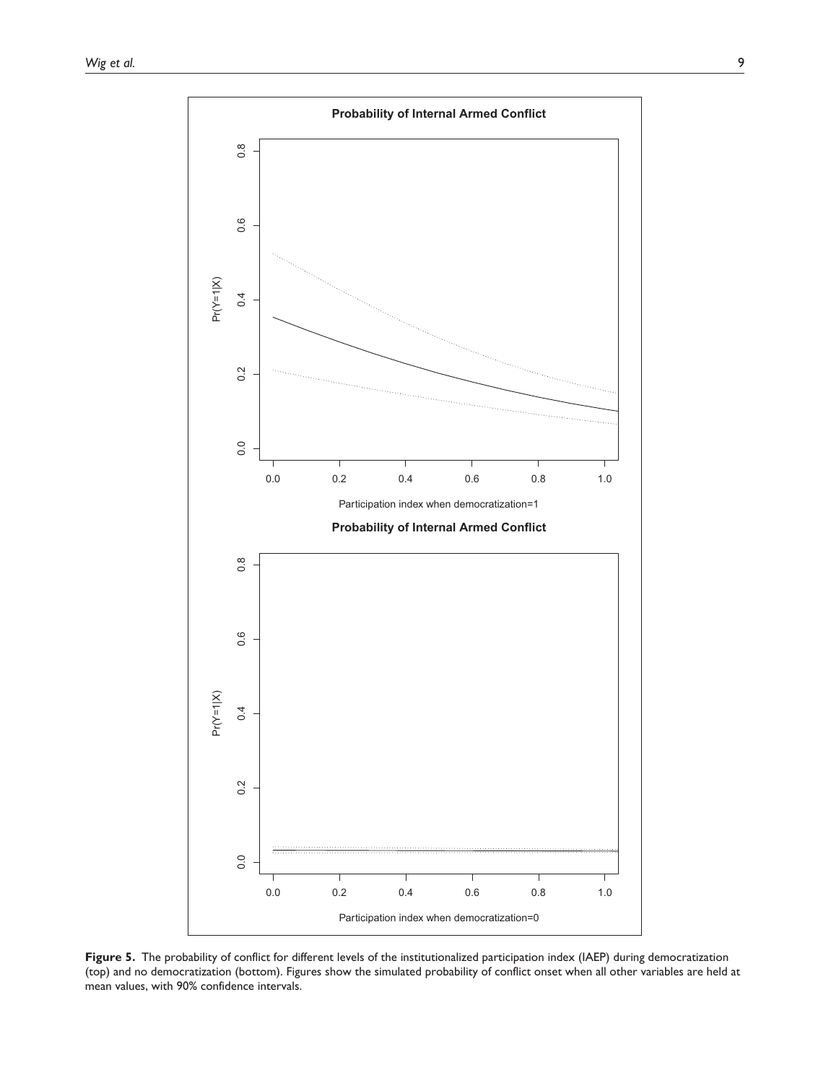

Figure 5. The probability of conflict for different levels of the institutionalized participation index (IAEP) during democratization (top) and no democratization (bottom). Figures show the simulated probability of conflict onset when all other variables are held at mean values, with 90% confidence intervals.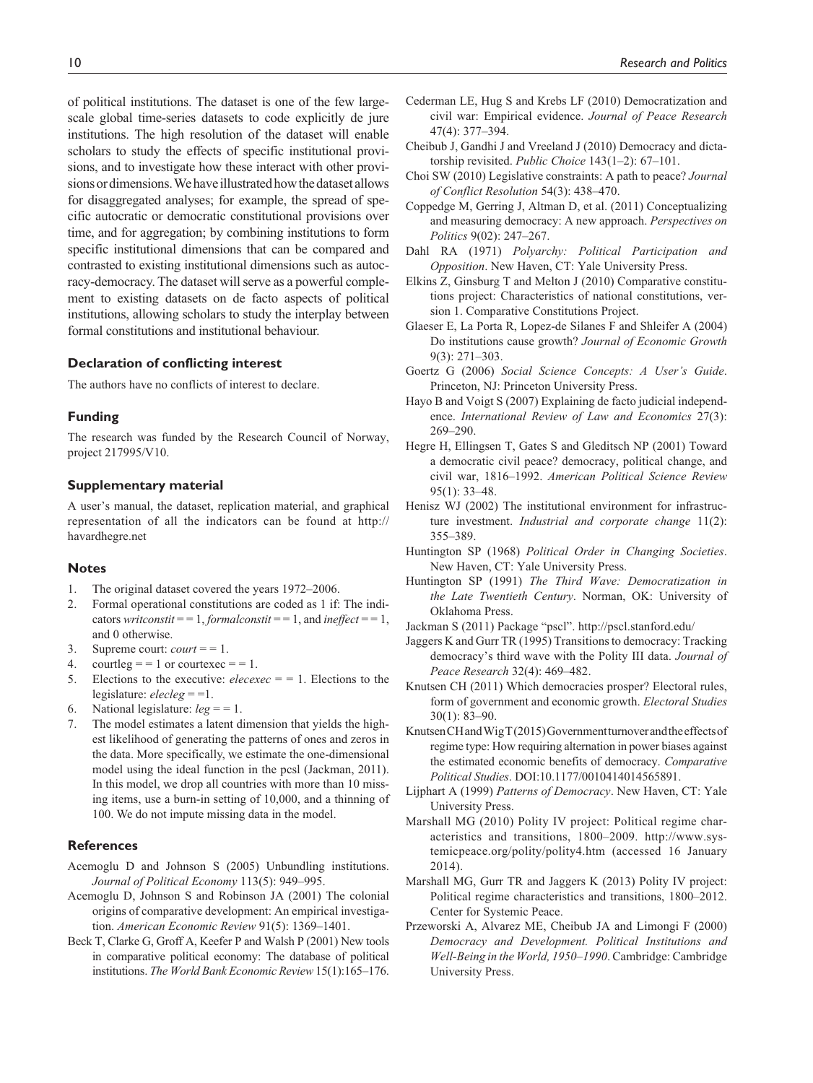of political institutions. The dataset is one of the few largescale global time-series datasets to code explicitly de jure institutions. The high resolution of the dataset will enable scholars to study the effects of specific institutional provisions, and to investigate how these interact with other provisions or dimensions. We have illustrated how the dataset allows for disaggregated analyses; for example, the spread of specific autocratic or democratic constitutional provisions over time, and for aggregation; by combining institutions to form specific institutional dimensions that can be compared and contrasted to existing institutional dimensions such as autocracy-democracy. The dataset will serve as a powerful complement to existing datasets on de facto aspects of political institutions, allowing scholars to study the interplay between formal constitutions and institutional behaviour.

#### **Declaration of conflicting interest**

The authors have no conflicts of interest to declare.

#### **Funding**

The research was funded by the Research Council of Norway, project 217995/V10.

#### **Supplementary material**

A user's manual, the dataset, replication material, and graphical representation of all the indicators can be found at [http://](http://
havardhegre.net) [havardhegre.net](http://
havardhegre.net)

#### **Notes**

- 1. The original dataset covered the years 1972–2006.
- 2. Formal operational constitutions are coded as 1 if: The indicators *writconstit* = = 1, *formalconstit* = = 1, and *ineffect* = = 1, and 0 otherwise.
- 3. Supreme court:  $court = 1$ .
- 4. courtleg  $=$  = 1 or courtexec  $=$  = 1.
- 5. Elections to the executive:  $\text{elece} = 1$ . Elections to the legislature: *elecleg* = =1.
- 6. National legislature:  $leg = 1$ .
- 7. The model estimates a latent dimension that yields the highest likelihood of generating the patterns of ones and zeros in the data. More specifically, we estimate the one-dimensional model using the ideal function in the pcsl (Jackman, 2011). In this model, we drop all countries with more than 10 missing items, use a burn-in setting of 10,000, and a thinning of 100. We do not impute missing data in the model.

#### **References**

- Acemoglu D and Johnson S (2005) Unbundling institutions. *Journal of Political Economy* 113(5): 949–995.
- Acemoglu D, Johnson S and Robinson JA (2001) The colonial origins of comparative development: An empirical investigation. *American Economic Review* 91(5): 1369–1401.
- Beck T, Clarke G, Groff A, Keefer P and Walsh P (2001) New tools in comparative political economy: The database of political institutions. *The World Bank Economic Review* 15(1):165–176.
- Cederman LE, Hug S and Krebs LF (2010) Democratization and civil war: Empirical evidence. *Journal of Peace Research* 47(4): 377–394.
- Cheibub J, Gandhi J and Vreeland J (2010) Democracy and dictatorship revisited. *Public Choice* 143(1–2): 67–101.
- Choi SW (2010) Legislative constraints: A path to peace? *Journal of Conflict Resolution* 54(3): 438–470.
- Coppedge M, Gerring J, Altman D, et al. (2011) Conceptualizing and measuring democracy: A new approach. *Perspectives on Politics* 9(02): 247–267.
- Dahl RA (1971) *Polyarchy: Political Participation and Opposition*. New Haven, CT: Yale University Press.
- Elkins Z, Ginsburg T and Melton J (2010) Comparative constitutions project: Characteristics of national constitutions, version 1. Comparative Constitutions Project.
- Glaeser E, La Porta R, Lopez-de Silanes F and Shleifer A (2004) Do institutions cause growth? *Journal of Economic Growth* 9(3): 271–303.
- Goertz G (2006) *Social Science Concepts: A User's Guide*. Princeton, NJ: Princeton University Press.
- Hayo B and Voigt S (2007) Explaining de facto judicial independence. *International Review of Law and Economics* 27(3): 269–290.
- Hegre H, Ellingsen T, Gates S and Gleditsch NP (2001) Toward a democratic civil peace? democracy, political change, and civil war, 1816–1992. *American Political Science Review* 95(1): 33–48.
- Henisz WJ (2002) The institutional environment for infrastructure investment. *Industrial and corporate change* 11(2): 355–389.
- Huntington SP (1968) *Political Order in Changing Societies*. New Haven, CT: Yale University Press.
- Huntington SP (1991) *The Third Wave: Democratization in the Late Twentieth Century*. Norman, OK: University of Oklahoma Press.
- Jackman S (2011) Package "pscl". http://pscl.stanford.edu/
- Jaggers K and Gurr TR (1995) Transitions to democracy: Tracking democracy's third wave with the Polity III data. *Journal of Peace Research* 32(4): 469–482.
- Knutsen CH (2011) Which democracies prosper? Electoral rules, form of government and economic growth. *Electoral Studies* 30(1): 83–90.
- Knutsen CH and Wig T (2015) Government turnover and the effects of regime type: How requiring alternation in power biases against the estimated economic benefits of democracy. *Comparative Political Studies*. DOI:10.1177/0010414014565891.
- Lijphart A (1999) *Patterns of Democracy*. New Haven, CT: Yale University Press.
- Marshall MG (2010) Polity IV project: Political regime characteristics and transitions, 1800–2009. http://www.systemicpeace.org/polity/polity4.htm (accessed 16 January 2014).
- Marshall MG, Gurr TR and Jaggers K (2013) Polity IV project: Political regime characteristics and transitions, 1800–2012. Center for Systemic Peace.
- Przeworski A, Alvarez ME, Cheibub JA and Limongi F (2000) *Democracy and Development. Political Institutions and Well-Being in the World, 1950–1990*. Cambridge: Cambridge University Press.